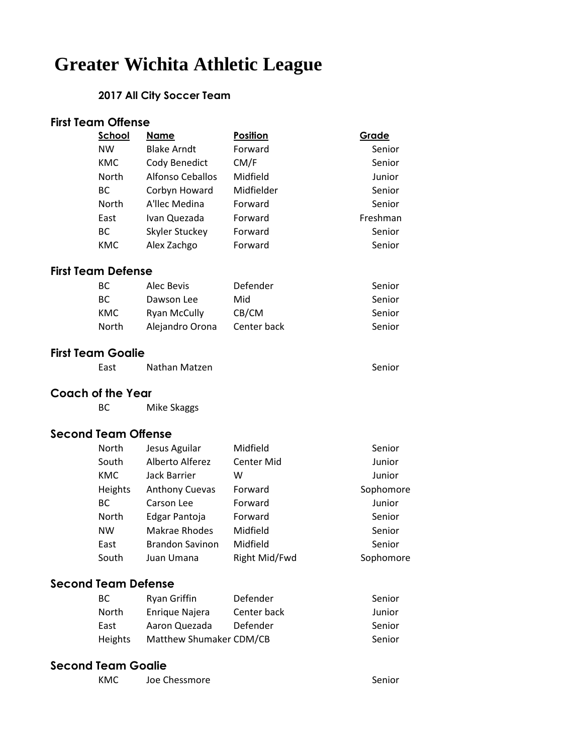# **Greater Wichita Athletic League**

#### **2017 All City Soccer Team**

| <b>First Team Offense</b>  |            |                         |               |           |
|----------------------------|------------|-------------------------|---------------|-----------|
|                            | School     | <u>Name</u>             | Position      | Grade     |
|                            | <b>NW</b>  | <b>Blake Arndt</b>      | Forward       | Senior    |
|                            | <b>KMC</b> | Cody Benedict           | CM/F          | Senior    |
|                            | North      | <b>Alfonso Ceballos</b> | Midfield      | Junior    |
|                            | <b>BC</b>  | Corbyn Howard           | Midfielder    | Senior    |
|                            | North      | A'llec Medina           | Forward       | Senior    |
|                            | East       | Ivan Quezada            | Forward       | Freshman  |
|                            | <b>BC</b>  | Skyler Stuckey          | Forward       | Senior    |
|                            | <b>KMC</b> | Alex Zachgo             | Forward       | Senior    |
| <b>First Team Defense</b>  |            |                         |               |           |
|                            | <b>BC</b>  | Alec Bevis              | Defender      | Senior    |
|                            | <b>BC</b>  | Dawson Lee              | Mid           | Senior    |
|                            | <b>KMC</b> | <b>Ryan McCully</b>     | CB/CM         | Senior    |
|                            | North      | Alejandro Orona         | Center back   | Senior    |
| <b>First Team Goalie</b>   |            |                         |               |           |
|                            | East       | Nathan Matzen           |               | Senior    |
| <b>Coach of the Year</b>   |            |                         |               |           |
|                            | BC         | Mike Skaggs             |               |           |
| <b>Second Team Offense</b> |            |                         |               |           |
|                            | North      | Jesus Aguilar           | Midfield      | Senior    |
|                            | South      | Alberto Alferez         | Center Mid    | Junior    |
|                            | <b>KMC</b> | <b>Jack Barrier</b>     | W             | Junior    |
|                            | Heights    | <b>Anthony Cuevas</b>   | Forward       | Sophomore |
|                            | <b>BC</b>  | Carson Lee              | Forward       | Junior    |
|                            | North      | Edgar Pantoja           | Forward       | Senior    |
|                            | <b>NW</b>  | Makrae Rhodes           | Midfield      | Senior    |
|                            | East       | Brandon Savinon         | Midfield      | Senior    |
|                            | South      | Juan Umana              | Right Mid/Fwd | Sophomore |
| <b>Second Team Defense</b> |            |                         |               |           |
|                            | <b>BC</b>  | <b>Ryan Griffin</b>     | Defender      | Senior    |
|                            | North      | Enrique Najera          | Center back   | Junior    |
|                            | East       | Aaron Quezada           | Defender      | Senior    |
|                            | Heights    | Matthew Shumaker CDM/CB |               | Senior    |

## **Second Team Goalie**

| Joe Chessmore<br>KMC | Senior |
|----------------------|--------|
|----------------------|--------|